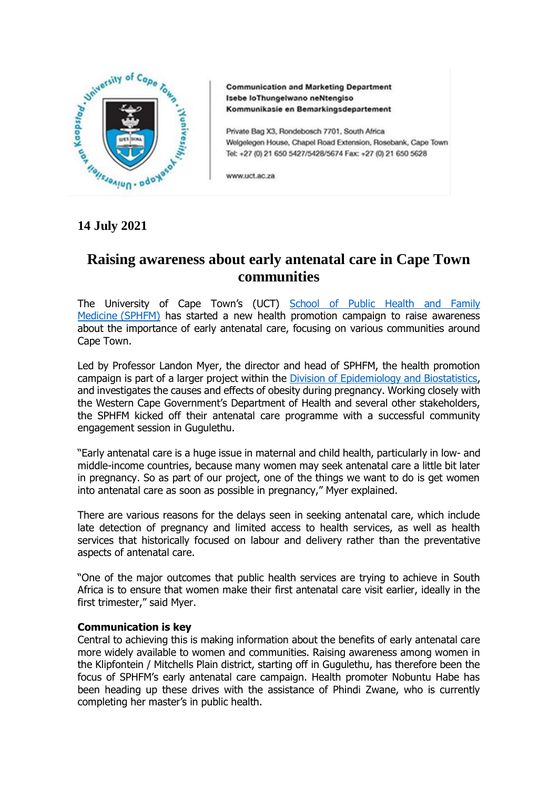

**Communication and Marketing Department** Isebe loThungelwano neNtengiso Kommunikasie en Bemarkingsdepartement

Private Bag X3, Rondebosch 7701, South Africa Welgelegen House, Chapel Road Extension, Rosebank, Cape Town Tel: +27 (0) 21 650 5427/5428/5674 Fax: +27 (0) 21 650 5628

www.uct.ac.za

# **14 July 2021**

# **Raising awareness about early antenatal care in Cape Town communities**

The University of Cape Town's (UCT) [School of Public Health and Family](http://www.publichealth.uct.ac.za/)  [Medicine](http://www.publichealth.uct.ac.za/) (SPHFM) has started a new health promotion campaign to raise awareness about the importance of early antenatal care, focusing on various communities around Cape Town.

Led by Professor Landon Myer, the director and head of SPHFM, the health promotion campaign is part of a larger project within the [Division of Epidemiology and Biostatistics,](http://www.publichealth.uct.ac.za/phfm_epidemiology-&-biostatistics) and investigates the causes and effects of obesity during pregnancy. Working closely with the Western Cape Government's Department of Health and several other stakeholders, the SPHFM kicked off their antenatal care programme with a successful community engagement session in Gugulethu.

"Early antenatal care is a huge issue in maternal and child health, particularly in low- and middle-income countries, because many women may seek antenatal care a little bit later in pregnancy. So as part of our project, one of the things we want to do is get women into antenatal care as soon as possible in pregnancy," Myer explained.

There are various reasons for the delays seen in seeking antenatal care, which include late detection of pregnancy and limited access to health services, as well as health services that historically focused on labour and delivery rather than the preventative aspects of antenatal care.

"One of the major outcomes that public health services are trying to achieve in South Africa is to ensure that women make their first antenatal care visit earlier, ideally in the first trimester," said Myer.

## **Communication is key**

Central to achieving this is making information about the benefits of early antenatal care more widely available to women and communities. Raising awareness among women in the Klipfontein / Mitchells Plain district, starting off in Gugulethu, has therefore been the focus of SPHFM's early antenatal care campaign. Health promoter Nobuntu Habe has been heading up these drives with the assistance of Phindi Zwane, who is currently completing her master's in public health.